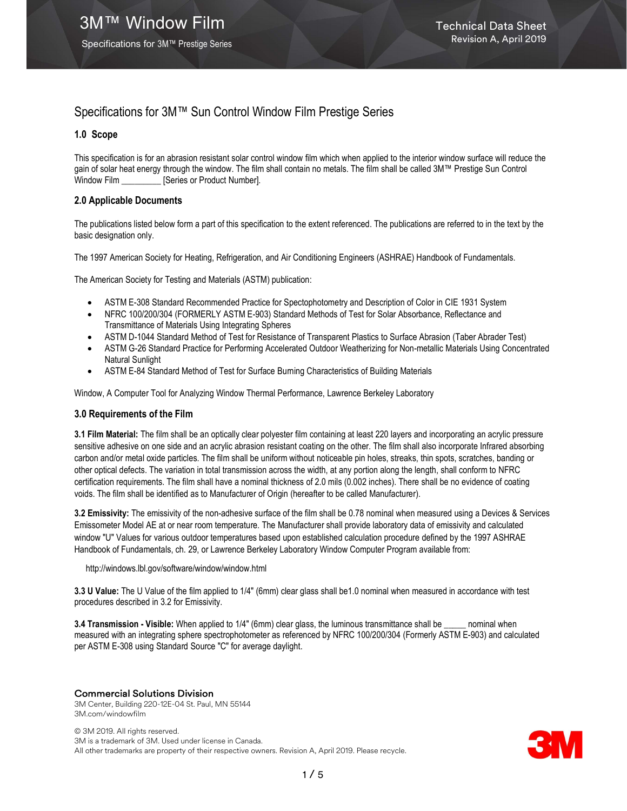Specifications for 3M™ Prestige Series

# Specifications for 3M™ Sun Control Window Film Prestige Series

## 1.0 Scope

This specification is for an abrasion resistant solar control window film which when applied to the interior window surface will reduce the gain of solar heat energy through the window. The film shall contain no metals. The film shall be called 3M™ Prestige Sun Control Window Film \_\_\_\_\_\_\_\_\_\_ [Series or Product Number].

## 2.0 Applicable Documents

The publications listed below form a part of this specification to the extent referenced. The publications are referred to in the text by the basic designation only.

The 1997 American Society for Heating, Refrigeration, and Air Conditioning Engineers (ASHRAE) Handbook of Fundamentals.

The American Society for Testing and Materials (ASTM) publication:

- ASTM E-308 Standard Recommended Practice for Spectophotometry and Description of Color in CIE 1931 System
- NFRC 100/200/304 (FORMERLY ASTM E-903) Standard Methods of Test for Solar Absorbance, Reflectance and Transmittance of Materials Using Integrating Spheres
- ASTM D-1044 Standard Method of Test for Resistance of Transparent Plastics to Surface Abrasion (Taber Abrader Test)
- ASTM G-26 Standard Practice for Performing Accelerated Outdoor Weatherizing for Non-metallic Materials Using Concentrated Natural Sunlight
- ASTM E-84 Standard Method of Test for Surface Burning Characteristics of Building Materials

Window, A Computer Tool for Analyzing Window Thermal Performance, Lawrence Berkeley Laboratory

## 3.0 Requirements of the Film

3.1 Film Material: The film shall be an optically clear polyester film containing at least 220 layers and incorporating an acrylic pressure sensitive adhesive on one side and an acrylic abrasion resistant coating on the other. The film shall also incorporate Infrared absorbing carbon and/or metal oxide particles. The film shall be uniform without noticeable pin holes, streaks, thin spots, scratches, banding or other optical defects. The variation in total transmission across the width, at any portion along the length, shall conform to NFRC certification requirements. The film shall have a nominal thickness of 2.0 mils (0.002 inches). There shall be no evidence of coating voids. The film shall be identified as to Manufacturer of Origin (hereafter to be called Manufacturer).

3.2 Emissivity: The emissivity of the non-adhesive surface of the film shall be 0.78 nominal when measured using a Devices & Services Emissometer Model AE at or near room temperature. The Manufacturer shall provide laboratory data of emissivity and calculated window "U" Values for various outdoor temperatures based upon established calculation procedure defined by the 1997 ASHRAE Handbook of Fundamentals, ch. 29, or Lawrence Berkeley Laboratory Window Computer Program available from:

http://windows.lbl.gov/software/window/window.html

3.3 U Value: The U Value of the film applied to 1/4" (6mm) clear glass shall be1.0 nominal when measured in accordance with test procedures described in 3.2 for Emissivity.

3.4 Transmission - Visible: When applied to 1/4" (6mm) clear glass, the luminous transmittance shall be \_\_\_\_ nominal when measured with an integrating sphere spectrophotometer as referenced by NFRC 100/200/304 (Formerly ASTM E-903) and calculated per ASTM E-308 using Standard Source "C" for average daylight.

## Commercial Solutions Division

3M Center, Building 220-12E-04 St. Paul, MN 55144 3M.com/windowfilm

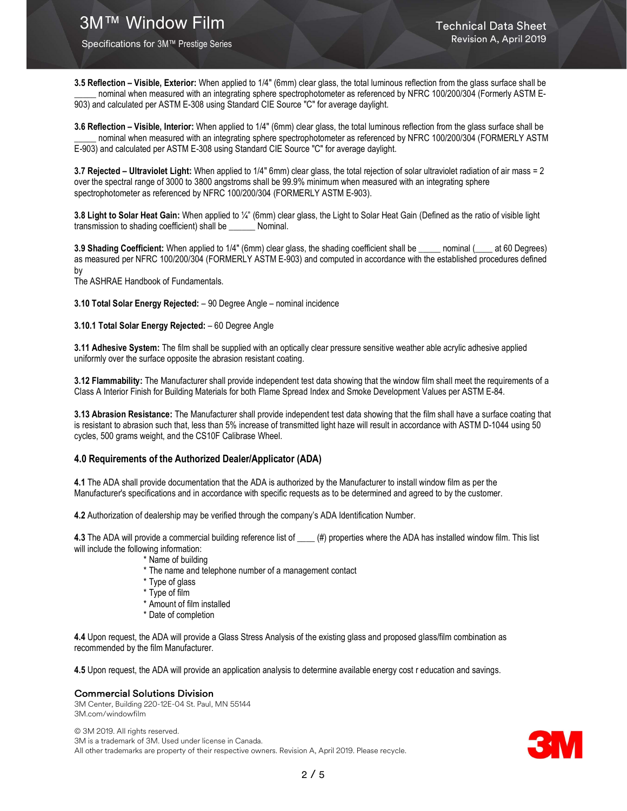Specifications for 3M™ Prestige Series

3.5 Reflection – Visible, Exterior: When applied to 1/4" (6mm) clear glass, the total luminous reflection from the glass surface shall be nominal when measured with an integrating sphere spectrophotometer as referenced by NFRC 100/200/304 (Formerly ASTM E-903) and calculated per ASTM E-308 using Standard CIE Source "C" for average daylight.

3.6 Reflection – Visible, Interior: When applied to 1/4" (6mm) clear glass, the total luminous reflection from the glass surface shall be nominal when measured with an integrating sphere spectrophotometer as referenced by NFRC 100/200/304 (FORMERLY ASTM E-903) and calculated per ASTM E-308 using Standard CIE Source "C" for average daylight.

3.7 Rejected – Ultraviolet Light: When applied to 1/4" 6mm) clear glass, the total rejection of solar ultraviolet radiation of air mass = 2 over the spectral range of 3000 to 3800 angstroms shall be 99.9% minimum when measured with an integrating sphere spectrophotometer as referenced by NFRC 100/200/304 (FORMERLY ASTM E-903).

3.8 Light to Solar Heat Gain: When applied to ¼" (6mm) clear glass, the Light to Solar Heat Gain (Defined as the ratio of visible light transmission to shading coefficient) shall be \_\_\_\_\_\_ Nominal.

3.9 Shading Coefficient: When applied to 1/4" (6mm) clear glass, the shading coefficient shall be \_\_\_\_\_ nominal (\_\_\_\_ at 60 Degrees) as measured per NFRC 100/200/304 (FORMERLY ASTM E-903) and computed in accordance with the established procedures defined by

The ASHRAE Handbook of Fundamentals.

3.10 Total Solar Energy Rejected: – 90 Degree Angle – nominal incidence

#### 3.10.1 Total Solar Energy Rejected: – 60 Degree Angle

3.11 Adhesive System: The film shall be supplied with an optically clear pressure sensitive weather able acrylic adhesive applied uniformly over the surface opposite the abrasion resistant coating.

3.12 Flammability: The Manufacturer shall provide independent test data showing that the window film shall meet the requirements of a Class A Interior Finish for Building Materials for both Flame Spread Index and Smoke Development Values per ASTM E-84.

3.13 Abrasion Resistance: The Manufacturer shall provide independent test data showing that the film shall have a surface coating that is resistant to abrasion such that, less than 5% increase of transmitted light haze will result in accordance with ASTM D-1044 using 50 cycles, 500 grams weight, and the CS10F Calibrase Wheel.

#### 4.0 Requirements of the Authorized Dealer/Applicator (ADA)

4.1 The ADA shall provide documentation that the ADA is authorized by the Manufacturer to install window film as per the Manufacturer's specifications and in accordance with specific requests as to be determined and agreed to by the customer.

4.2 Authorization of dealership may be verified through the company's ADA Identification Number.

4.3 The ADA will provide a commercial building reference list of  $($ <sub>#</sub>) properties where the ADA has installed window film. This list will include the following information:

- \* Name of building
- \* The name and telephone number of a management contact
- \* Type of glass
- \* Type of film
- \* Amount of film installed
- \* Date of completion

4.4 Upon request, the ADA will provide a Glass Stress Analysis of the existing glass and proposed glass/film combination as recommended by the film Manufacturer.

4.5 Upon request, the ADA will provide an application analysis to determine available energy cost r education and savings.

#### Commercial Solutions Division

3M Center, Building 220-12E-04 St. Paul, MN 55144 3M.com/windowfilm

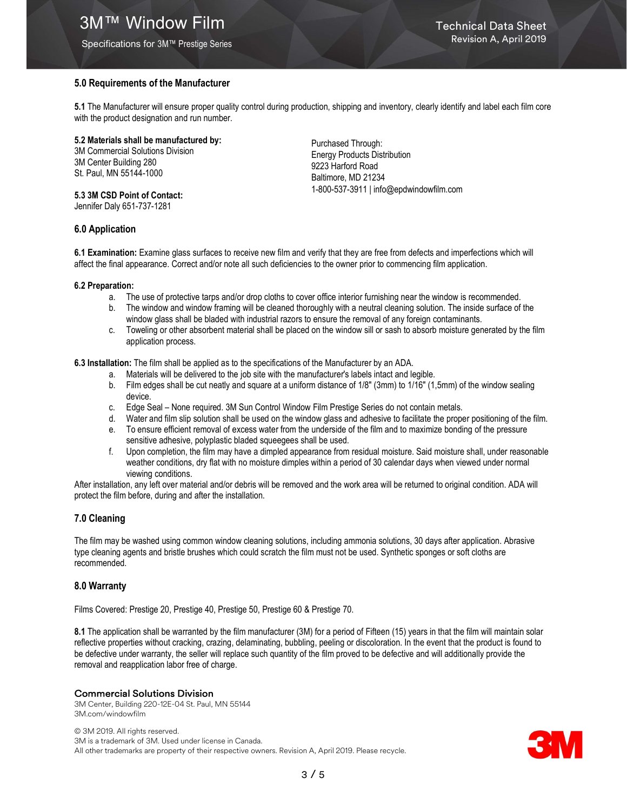# **3M™ Window Film Technical Data Sheet**

## 5.0 Requirements of the Manufacturer

5.1 The Manufacturer will ensure proper quality control during production, shipping and inventory, clearly identify and label each film core with the product designation and run number.

5.2 Materials shall be manufactured by:

3M Commercial Solutions Division 3M Center Building 280 St. Paul, MN 55144-1000

5.3 3M CSD Point of Contact: Jennifer Daly 651-737-1281

Purchased Through: Energy Products Distribution 9223 Harford Road Baltimore, MD 21234 1-800-537-3911 | info@epdwindowfilm.com

## 6.0 Application

6.1 Examination: Examine glass surfaces to receive new film and verify that they are free from defects and imperfections which will affect the final appearance. Correct and/or note all such deficiencies to the owner prior to commencing film application.

#### 6.2 Preparation:

- a. The use of protective tarps and/or drop cloths to cover office interior furnishing near the window is recommended.
- b. The window and window framing will be cleaned thoroughly with a neutral cleaning solution. The inside surface of the window glass shall be bladed with industrial razors to ensure the removal of any foreign contaminants.
- c. Toweling or other absorbent material shall be placed on the window sill or sash to absorb moisture generated by the film application process.

6.3 Installation: The film shall be applied as to the specifications of the Manufacturer by an ADA.

- a. Materials will be delivered to the job site with the manufacturer's labels intact and legible.
- b. Film edges shall be cut neatly and square at a uniform distance of 1/8" (3mm) to 1/16" (1,5mm) of the window sealing device.
- c. Edge Seal None required. 3M Sun Control Window Film Prestige Series do not contain metals.
- d. Water and film slip solution shall be used on the window glass and adhesive to facilitate the proper positioning of the film.
- e. To ensure efficient removal of excess water from the underside of the film and to maximize bonding of the pressure sensitive adhesive, polyplastic bladed squeegees shall be used.
- f. Upon completion, the film may have a dimpled appearance from residual moisture. Said moisture shall, under reasonable weather conditions, dry flat with no moisture dimples within a period of 30 calendar days when viewed under normal viewing conditions.

After installation, any left over material and/or debris will be removed and the work area will be returned to original condition. ADA will protect the film before, during and after the installation.

## 7.0 Cleaning

The film may be washed using common window cleaning solutions, including ammonia solutions, 30 days after application. Abrasive type cleaning agents and bristle brushes which could scratch the film must not be used. Synthetic sponges or soft cloths are recommended.

## 8.0 Warranty

Films Covered: Prestige 20, Prestige 40, Prestige 50, Prestige 60 & Prestige 70.

8.1 The application shall be warranted by the film manufacturer (3M) for a period of Fifteen (15) years in that the film will maintain solar reflective properties without cracking, crazing, delaminating, bubbling, peeling or discoloration. In the event that the product is found to be defective under warranty, the seller will replace such quantity of the film proved to be defective and will additionally provide the removal and reapplication labor free of charge.

## Commercial Solutions Division

3M Center, Building 220-12E-04 St. Paul, MN 55144 3M.com/windowfilm

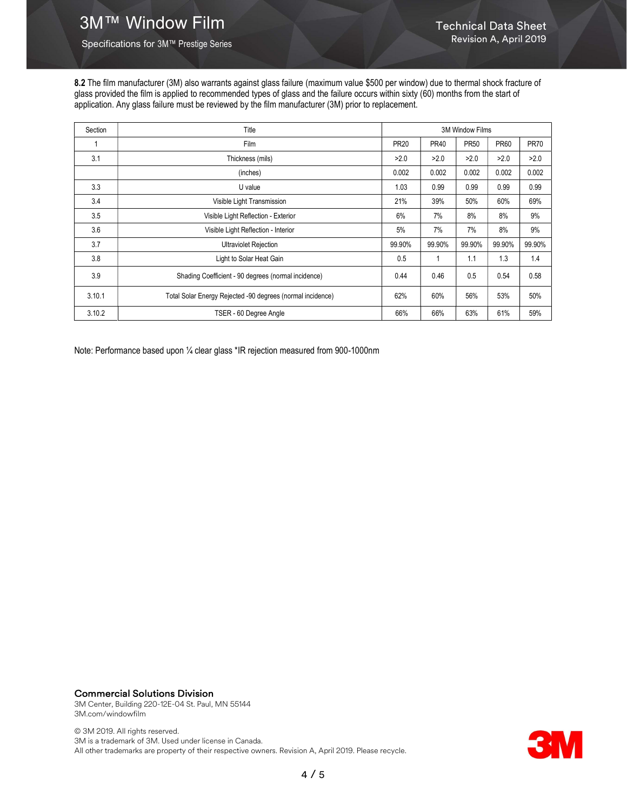Specifications for 3M™ Prestige Series

8.2 The film manufacturer (3M) also warrants against glass failure (maximum value \$500 per window) due to thermal shock fracture of glass provided the film is applied to recommended types of glass and the failure occurs within sixty (60) months from the start of application. Any glass failure must be reviewed by the film manufacturer (3M) prior to replacement.

| Section | Title                                                      | <b>3M Window Films</b> |             |             |             |             |
|---------|------------------------------------------------------------|------------------------|-------------|-------------|-------------|-------------|
|         | Film                                                       | <b>PR20</b>            | <b>PR40</b> | <b>PR50</b> | <b>PR60</b> | <b>PR70</b> |
| 3.1     | Thickness (mils)                                           | >2.0                   | >2.0        | >2.0        | >2.0        | >2.0        |
|         | (inches)                                                   | 0.002                  | 0.002       | 0.002       | 0.002       | 0.002       |
| 3.3     | U value                                                    | 1.03                   | 0.99        | 0.99        | 0.99        | 0.99        |
| 3.4     | Visible Light Transmission                                 | 21%                    | 39%         | 50%         | 60%         | 69%         |
| 3.5     | Visible Light Reflection - Exterior                        | 6%                     | 7%          | 8%          | 8%          | 9%          |
| 3.6     | Visible Light Reflection - Interior                        | 5%                     | 7%          | 7%          | 8%          | 9%          |
| 3.7     | <b>Ultraviolet Rejection</b>                               | 99.90%                 | 99.90%      | 99.90%      | 99.90%      | 99.90%      |
| 3.8     | Light to Solar Heat Gain                                   | 0.5                    |             | 1.1         | 1.3         | 1.4         |
| 3.9     | Shading Coefficient - 90 degrees (normal incidence)        | 0.44                   | 0.46        | 0.5         | 0.54        | 0.58        |
| 3.10.1  | Total Solar Energy Rejected -90 degrees (normal incidence) | 62%                    | 60%         | 56%         | 53%         | 50%         |
| 3.10.2  | TSER - 60 Degree Angle                                     | 66%                    | 66%         | 63%         | 61%         | 59%         |

Note: Performance based upon ¼ clear glass \*IR rejection measured from 900-1000nm

Commercial Solutions Division 3M Center, Building 220-12E-04 St. Paul, MN 55144 3M.com/windowfilm